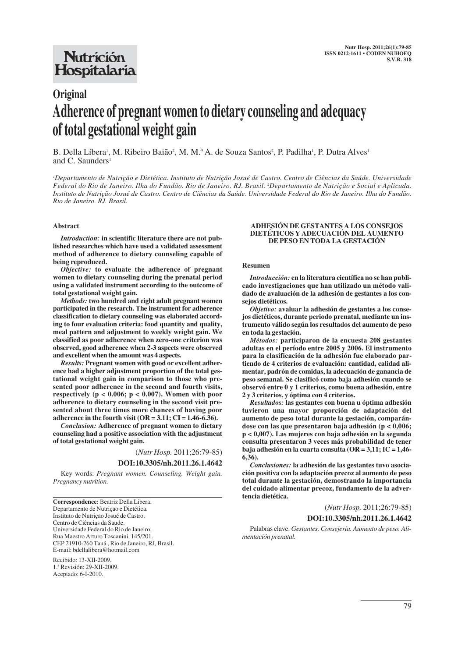# **Nutrición** Hospitalaria

# **Original Adherence of pregnant women to dietary counseling and adequacy of total gestational weight gain**

B. Della Líbera<sup>1</sup>, M. Ribeiro Baião<sup>2</sup>, M. M.ª A. de Souza Santos<sup>2</sup>, P. Padilha<sup>1</sup>, P. Dutra Alves<sup>1</sup> and C. Saunders<sup>1</sup>

*1 Departamento de Nutrição e Dietética. Instituto de Nutrição Josué de Castro. Centro de Ciências da Saúde. Universidade Federal do Rio de Janeiro. Ilha do Fundão. Rio de Janeiro. RJ. Brasil. 2 Departamento de Nutrição e Social e Aplicada. Instituto de Nutrição Josué de Castro. Centro de Ciências da Saúde. Universidade Federal do Rio de Janeiro. Ilha do Fundão. Rio de Janeiro. RJ. Brasil.*

#### **Abstract**

*Introduction:* **in scientific literature there are not published researches which have used a validated assessment method of adherence to dietary counseling capable of being reproduced.** 

*Objective:* **to evaluate the adherence of pregnant women to dietary counseling during the prenatal period using a validated instrument according to the outcome of total gestational weight gain.** 

*Methods:* **two hundred and eight adult pregnant women participated in the research. The instrument for adherence classification to dietary counseling was elaborated according to four evaluation criteria: food quantity and quality, meal pattern and adjustment to weekly weight gain. We classified as poor adherence when zero-one criterion was observed, good adherence when 2-3 aspects were observed and excellent when the amount was 4 aspects.** 

*Results:* **Pregnant women with good or excellent adherence had a higher adjustment proportion of the total gestational weight gain in comparison to those who presented poor adherence in the second and fourth visits, respectively (p < 0.006; p < 0.007). Women with poor adherence to dietary counseling in the second visit presented about three times more chances of having poor adherence in the fourth visit (OR = 3.11; CI = 1.46-6.36).**

*Conclusion:* **Adherence of pregnant women to dietary counseling had a positive association with the adjustment of total gestational weight gain.**

(*Nutr Hosp.* 2011;26:79-85)

# **DOI:10.3305/nh.2011.26.1.4642**

Key words: *Pregnant women. Counseling. Weight gain. Pregnancy nutrition.*

**Correspondence:** Beatriz Della Libera. Departamento de Nutrição e Dietética. Instituto de Nutrição Josué de Castro. Centro de Ciências da Saude. Universidade Federal do Rio de Janeiro. Rua Maestro Arturo Toscanini, 145/201. CEP 21910-260 Tauá , Rio de Janeiro, RJ, Brasil. E-mail: bdellalibera@hotmail.com

Recibido: 13-XII-2009. 1.ª Revisión: 29-XII-2009. Aceptado: 6-I-2010.

#### **ADHESIÓN DE GESTANTES A LOS CONSEJOS DIETÉTICOS Y ADECUACIÓN DEL AUMENTO DE PESO EN TODA LA GESTACIÓN**

#### **Resumen**

*Introducción:* **en la literatura científica no se han publicado investigaciones que han utilizado un método validado de avaluación de la adhesión de gestantes a los consejos dietéticos.** 

*Objetivo:* **avaluar la adhesión de gestantes a los consejos dietéticos, durante periodo prenatal, mediante un instrumento válido según los resultados del aumento de peso en toda la gestación.** 

*Métodos:* **participaron de la encuesta 208 gestantes adultas en el período entre 2005 y 2006. El instrumento para la clasificación de la adhesión fue elaborado partiendo de 4 criterios de evaluación: cantidad, calidad alimentar, padrón de comidas, la adecuación de ganancia de peso semanal. Se clasificó como baja adhesión cuando se observó entre 0 y 1 criterios, como buena adhesión, entre 2 y 3 criterios, y óptima con 4 criterios.** 

*Resultados:* **las gestantes con buena u óptima adhesión tuvieron una mayor proporción de adaptación del aumento de peso total durante la gestación, comparándose con las que presentaron baja adhesión (p < 0,006; p < 0,007). Las mujeres con baja adhesión en la segunda consulta presentaron 3 veces más probabilidad de tener baja adhesión en la cuarta consulta (OR = 3,11; IC = 1,46- 6,36).** 

*Conclusiones:* **la adhesión de las gestantes tuvo asociación positiva con la adaptación precoz al aumento de peso total durante la gestación, demostrando la importancia del cuidado alimentar precoz, fundamento de la advertencia dietética.** 

(*Nutr Hosp.* 2011;26:79-85)

**DOI:10.3305/nh.2011.26.1.4642**

Palabras clave: *Gestantes. Consejería. Aumento de peso. Alimentación prenatal.*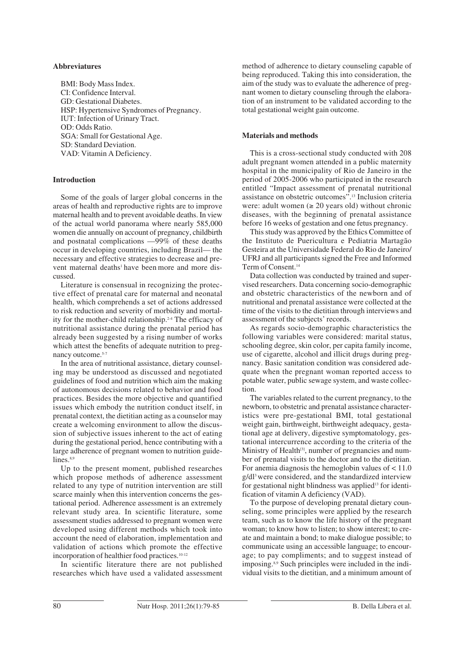#### **Abbreviatures**

BMI: Body Mass Index. CI: Confidence Interval. GD: Gestational Diabetes. HSP: Hypertensive Syndromes of Pregnancy. IUT: Infection of Urinary Tract. OD: Odds Ratio. SGA: Small for Gestational Age. SD: Standard Deviation. VAD: Vitamin A Deficiency.

#### **Introduction**

Some of the goals of larger global concerns in the areas of health and reproductive rights are to improve maternal health and to prevent avoidable deaths. In view of the actual world panorama where nearly 585,000 women die annually on account of pregnancy, childbirth and postnatal complications —99% of these deaths occur in developing countries, including Brazil— the necessary and effective strategies to decrease and prevent maternal deaths<sup>1</sup> have been more and more discussed.

Literature is consensual in recognizing the protective effect of prenatal care for maternal and neonatal health, which comprehends a set of actions addressed to risk reduction and severity of morbidity and mortality for the mother-child relationship.2-4 The efficacy of nutritional assistance during the prenatal period has already been suggested by a rising number of works which attest the benefits of adequate nutrition to pregnancy outcome.<sup>5-7</sup>

In the area of nutritional assistance, dietary counseling may be understood as discussed and negotiated guidelines of food and nutrition which aim the making of autonomous decisions related to behavior and food practices. Besides the more objective and quantified issues which embody the nutrition conduct itself, in prenatal context, the dietitian acting as a counselor may create a welcoming environment to allow the discussion of subjective issues inherent to the act of eating during the gestational period, hence contributing with a large adherence of pregnant women to nutrition guide $lines.$ <sup>8,9</sup>

Up to the present moment, published researches which propose methods of adherence assessment related to any type of nutrition intervention are still scarce mainly when this intervention concerns the gestational period. Adherence assessment is an extremely relevant study area. In scientific literature, some assessment studies addressed to pregnant women were developed using different methods which took into account the need of elaboration, implementation and validation of actions which promote the effective incorporation of healthier food practices.10-12

In scientific literature there are not published researches which have used a validated assessment method of adherence to dietary counseling capable of being reproduced. Taking this into consideration, the aim of the study was to evaluate the adherence of pregnant women to dietary counseling through the elaboration of an instrument to be validated according to the total gestational weight gain outcome.

#### **Materials and methods**

This is a cross-sectional study conducted with 208 adult pregnant women attended in a public maternity hospital in the municipality of Rio de Janeiro in the period of 2005-2006 who participated in the research entitled "Impact assessment of prenatal nutritional assistance on obstetric outcomes".13 Inclusion criteria were: adult women ( $\geq$  20 years old) without chronic diseases, with the beginning of prenatal assistance before 16 weeks of gestation and one fetus pregnancy.

This study was approved by the Ethics Committee of the Instituto de Puericultura e Pediatria Martagão Gesteira at the Universidade Federal do Rio de Janeiro/ UFRJ and all participants signed the Free and Informed Term of Consent.14

Data collection was conducted by trained and supervised researchers. Data concerning socio-demographic and obstetric characteristics of the newborn and of nutritional and prenatal assistance were collected at the time of the visits to the dietitian through interviews and assessment of the subjects' records.

As regards socio-demographic characteristics the following variables were considered: marital status, schooling degree, skin color, per capita family income, use of cigarette, alcohol and illicit drugs during pregnancy. Basic sanitation condition was considered adequate when the pregnant woman reported access to potable water, public sewage system, and waste collection.

The variables related to the current pregnancy, to the newborn, to obstetric and prenatal assistance characteristics were pre-gestational BMI, total gestational weight gain, birthweight, birthweight adequacy, gestational age at delivery, digestive symptomatology, gestational intercurrence according to the criteria of the Ministry of Health<sup>[3]</sup>, number of pregnancies and number of prenatal visits to the doctor and to the dietitian. For anemia diagnosis the hemoglobin values of  $< 11.0$ g/dl3 were considered, and the standardized interview for gestational night blindness was applied<sup>13</sup> for identification of vitamin A deficiency (VAD).

To the purpose of developing prenatal dietary counseling, some principles were applied by the research team, such as to know the life history of the pregnant woman; to know how to listen; to show interest; to create and maintain a bond; to make dialogue possible; to communicate using an accessible language; to encourage; to pay compliments; and to suggest instead of imposing.8,9 Such principles were included in the individual visits to the dietitian, and a minimum amount of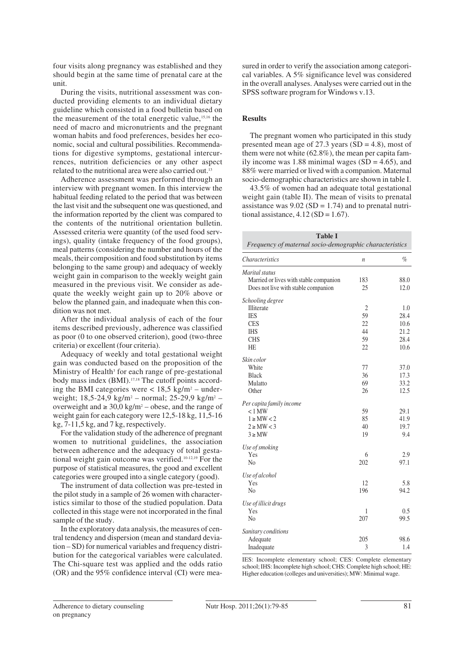four visits along pregnancy was established and they should begin at the same time of prenatal care at the unit.

During the visits, nutritional assessment was conducted providing elements to an individual dietary guideline which consisted in a food bulletin based on the measurement of the total energetic value,15,16 the need of macro and micronutrients and the pregnant woman habits and food preferences, besides her economic, social and cultural possibilities. Recommendations for digestive symptoms, gestational intercurrences, nutrition deficiencies or any other aspect related to the nutritional area were also carried out.13

Adherence assessment was performed through an interview with pregnant women. In this interview the habitual feeding related to the period that was between the last visit and the subsequent one was questioned, and the information reported by the client was compared to the contents of the nutritional orientation bulletin. Assessed criteria were quantity (of the used food servings), quality (intake frequency of the food groups), meal patterns (considering the number and hours of the meals, their composition and food substitution by items belonging to the same group) and adequacy of weekly weight gain in comparison to the weekly weight gain measured in the previous visit. We consider as adequate the weekly weight gain up to 20% above or below the planned gain, and inadequate when this condition was not met.

After the individual analysis of each of the four items described previously, adherence was classified as poor (0 to one observed criterion), good (two-three criteria) or excellent (four criteria).

Adequacy of weekly and total gestational weight gain was conducted based on the proposition of the Ministry of Health<sup>3</sup> for each range of pre-gestational body mass index (BMI).17,18 The cutoff points according the BMI categories were  $< 18.5$  kg/m<sup>2</sup> – underweight;  $18,5-24,9 \text{ kg/m}^2$  – normal;  $25-29,9 \text{ kg/m}^2$  – overweight and  $\geq 30.0 \text{ kg/m}^2$  – obese, and the range of weight gain for each category were 12,5-18 kg, 11,5-16 kg, 7-11,5 kg, and 7 kg, respectively.

For the validation study of the adherence of pregnant women to nutritional guidelines, the association between adherence and the adequacy of total gestational weight gain outcome was verified.10-12,19 For the purpose of statistical measures, the good and excellent categories were grouped into a single category (good).

The instrument of data collection was pre-tested in the pilot study in a sample of 26 women with characteristics similar to those of the studied population. Data collected in this stage were not incorporated in the final sample of the study.

In the exploratory data analysis, the measures of central tendency and dispersion (mean and standard deviation – SD) for numerical variables and frequency distribution for the categorical variables were calculated. The Chi-square test was applied and the odds ratio (OR) and the 95% confidence interval (CI) were measured in order to verify the association among categorical variables. A 5% significance level was considered in the overall analyses. Analyses were carried out in the SPSS software program for Windows v.13.

# **Results**

The pregnant women who participated in this study presented mean age of 27.3 years  $(SD = 4.8)$ , most of them were not white (62.8%), the mean per capita family income was 1.88 minimal wages  $(SD = 4.65)$ , and 88% were married or lived with a companion. Maternal socio-demographic characteristics are shown in table I.

43.5% of women had an adequate total gestational weight gain (table II). The mean of visits to prenatal assistance was  $9.02$  (SD = 1.74) and to prenatal nutritional assistance,  $4.12$  (SD = 1.67).

| <b>Table I</b><br>Frequency of maternal socio-demographic characteristics |                  |      |  |  |
|---------------------------------------------------------------------------|------------------|------|--|--|
| <i>Characteristics</i>                                                    | $\boldsymbol{n}$ | $\%$ |  |  |
| Marital status                                                            |                  |      |  |  |
| Married or lives with stable companion                                    | 183              | 88.0 |  |  |
| Does not live with stable companion                                       | 25               | 12.0 |  |  |
| Schooling degree                                                          |                  |      |  |  |
| Illiterate                                                                | $\overline{c}$   | 1.0  |  |  |
| <b>IES</b>                                                                | 59               | 28.4 |  |  |
| <b>CES</b>                                                                | 22               | 10.6 |  |  |
| <b>IHS</b>                                                                | 44               | 21.2 |  |  |
| <b>CHS</b>                                                                | 59               | 28.4 |  |  |
| <b>HE</b>                                                                 | 22               | 10.6 |  |  |
| Skin color                                                                |                  |      |  |  |
| White                                                                     | 77               | 37.0 |  |  |
| <b>Black</b>                                                              | 36               | 17.3 |  |  |
| Mulatto                                                                   | 69               | 33.2 |  |  |
| Other                                                                     | 26               | 12.5 |  |  |
| Per capita family income                                                  |                  |      |  |  |
| $< 1$ MW                                                                  | 59               | 29.1 |  |  |
| $1 \geq MW < 2$                                                           | 85               | 41.9 |  |  |
| $2 \geq M W < 3$                                                          | 40               | 19.7 |  |  |
| $3 \geq MW$                                                               | 19               | 9.4  |  |  |
|                                                                           |                  |      |  |  |
| Use of smoking<br>Yes                                                     | 6                | 2.9  |  |  |
| N <sub>0</sub>                                                            | 202              | 97.1 |  |  |
|                                                                           |                  |      |  |  |
| Use of alcohol                                                            |                  |      |  |  |
| Yes                                                                       | 12               | 5.8  |  |  |
| N <sub>0</sub>                                                            | 196              | 94.2 |  |  |
| Use of illicit drugs                                                      |                  |      |  |  |
| Yes                                                                       | 1                | 0.5  |  |  |
| N <sub>o</sub>                                                            | 207              | 99.5 |  |  |
| Sanitary conditions                                                       |                  |      |  |  |
| Adequate                                                                  | 205              | 98.6 |  |  |
| Inadequate                                                                | 3                | 1.4  |  |  |

IES: Incomplete elementary school; CES: Complete elementary school; IHS: Incomplete high school; CHS: Complete high school; HE: Higher education (colleges and universities); MW: Minimal wage.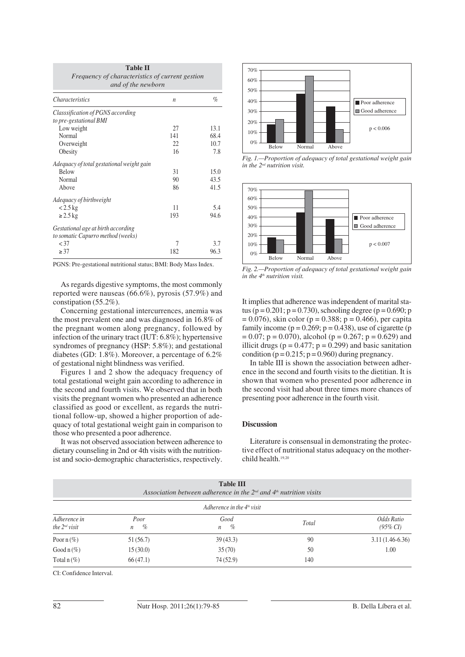| <b>Table II</b><br>Frequency of characteristics of current gestion<br>and of the newborn |                  |      |  |  |
|------------------------------------------------------------------------------------------|------------------|------|--|--|
| <i>Characteristics</i>                                                                   | $\boldsymbol{n}$ | $\%$ |  |  |
| Classsification of PGNS according                                                        |                  |      |  |  |
| to pre-gestational BMI                                                                   |                  |      |  |  |
| Low weight                                                                               | 27               | 13.1 |  |  |
| Normal                                                                                   | 141              | 68.4 |  |  |
| Overweight                                                                               | 22               | 10.7 |  |  |
| Obesity                                                                                  | 16               | 7.8  |  |  |
| Adequacy of total gestational weight gain                                                |                  |      |  |  |
| <b>Below</b>                                                                             | 31               | 15.0 |  |  |
| Normal                                                                                   | 90               | 43.5 |  |  |
| Above                                                                                    | 86               | 41.5 |  |  |
| Adequacy of birthweight                                                                  |                  |      |  |  |
| $< 2.5 \text{ kg}$                                                                       | 11               | 5.4  |  |  |
| $\geq$ 2.5 kg                                                                            | 193              | 94.6 |  |  |
| Gestational age at birth according<br>to somatic Capurro method (weeks)                  |                  |      |  |  |
| $<$ 37                                                                                   | 7                | 3.7  |  |  |
| $\geq$ 37                                                                                | 182              | 96.3 |  |  |

PGNS: Pre-gestational nutritional status; BMI: Body Mass Index.

As regards digestive symptoms, the most commonly reported were nauseas (66.6%), pyrosis (57.9%) and constipation (55.2%).

Concerning gestational intercurrences, anemia was the most prevalent one and was diagnosed in 16.8% of the pregnant women along pregnancy, followed by infection of the urinary tract (IUT: 6.8%); hypertensive syndromes of pregnancy (HSP: 5.8%); and gestational diabetes (GD: 1.8%). Moreover, a percentage of 6.2% of gestational night blindness was verified.

Figures 1 and 2 show the adequacy frequency of total gestational weight gain according to adherence in the second and fourth visits. We observed that in both visits the pregnant women who presented an adherence classified as good or excellent, as regards the nutritional follow-up, showed a higher proportion of adequacy of total gestational weight gain in comparison to those who presented a poor adherence.

It was not observed association between adherence to dietary counseling in 2nd or 4th visits with the nutritionist and socio-demographic characteristics, respectively.



*Fig. 1.—Proportion of adequacy of total gestational weight gain in the 2nd nutrition visit.*



*Fig. 2.—Proportion of adequacy of total gestational weight gain in the 4th nutrition visit.*

It implies that adherence was independent of marital status (p =  $0.201$ ; p =  $0.730$ ), schooling degree (p =  $0.690$ ; p  $= 0.076$ , skin color (p = 0.388; p = 0.466), per capita family income ( $p = 0.269$ ;  $p = 0.438$ ), use of cigarette ( $p = 0.269$ )  $= 0.07$ ;  $p = 0.070$ ), alcohol ( $p = 0.267$ ;  $p = 0.629$ ) and illicit drugs ( $p = 0.477$ ;  $p = 0.299$ ) and basic sanitation condition ( $p = 0.215$ ;  $p = 0.960$ ) during pregnancy.

In table III is shown the association between adherence in the second and fourth visits to the dietitian. It is shown that women who presented poor adherence in the second visit had about three times more chances of presenting poor adherence in the fourth visit.

# **Discussion**

Literature is consensual in demonstrating the protective effect of nutritional status adequacy on the motherchild health.19,20

| <b>Table III</b><br>Association between adherence in the $2nd$ and $4th$ nutrition visits<br>Adherence in the $4th$ visit |           |          |     |                   |  |  |
|---------------------------------------------------------------------------------------------------------------------------|-----------|----------|-----|-------------------|--|--|
|                                                                                                                           |           |          |     |                   |  |  |
| Poor $n$ (%)                                                                                                              | 51 (56.7) | 39(43.3) | 90  | $3.11(1.46-6.36)$ |  |  |
| Good n $(\%)$                                                                                                             | 15(30.0)  | 35(70)   | 50  | 1.00              |  |  |
| Total $n$ (%)                                                                                                             | 66(47.1)  | 74(52.9) | 140 |                   |  |  |

CI: Confidence Interval.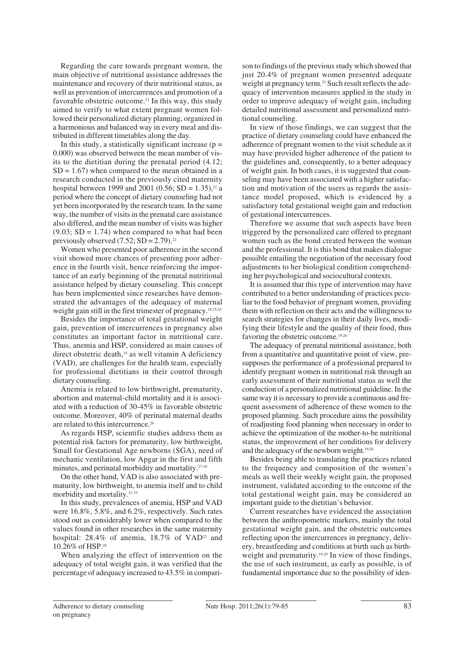Regarding the care towards pregnant women, the main objective of nutritional assistance addresses the maintenance and recovery of their nutritional status, as well as prevention of intercurrences and promotion of a favorable obstetric outcome.<sup>21</sup> In this way, this study aimed to verify to what extent pregnant women followed their personalized dietary planning, organized in a harmonious and balanced way in every meal and distributed in different timetables along the day.

In this study, a statistically significant increase ( $p =$ 0.000) was observed between the mean number of visits to the dietitian during the prenatal period (4.12;  $SD = 1.67$  when compared to the mean obtained in a research conducted in the previously cited maternity hospital between 1999 and 2001 (0.56; SD = 1.35),<sup>22</sup> a period where the concept of dietary counseling had not yet been incorporated by the research team. In the same way, the number of visits in the prenatal care assistance also differed, and the mean number of visits was higher  $(9.03; SD = 1.74)$  when compared to what had been previously observed  $(7.52; SD = 2.79)^{22}$ 

Women who presented poor adherence in the second visit showed more chances of presenting poor adherence in the fourth visit, hence reinforcing the importance of an early beginning of the prenatal nutritional assistance helped by dietary counseling. This concept has been implemented since researches have demonstrated the advantages of the adequacy of maternal weight gain still in the first trimester of pregnancy.<sup>18,23,24</sup>

Besides the importance of total gestational weight gain, prevention of intercurrences in pregnancy also constitutes an important factor in nutritional care. Thus, anemia and HSP, considered as main causes of direct obstetric death, $25$  as well vitamin A deficiency (VAD), are challenges for the health team, especially for professional dietitians in their control through dietary counseling.

Anemia is related to low birthweight, prematurity, abortion and maternal-child mortality and it is associated with a reduction of 30-45% in favorable obstetric outcome. Moreover, 40% of perinatal maternal deaths are related to this intercurrence.<sup>26</sup>

As regards HSP, scientific studies address them as potential risk factors for prematurity, low birthweight, Small for Gestational Age newborns (SGA), need of mechanic ventilation, low Apgar in the first and fifth minutes, and perinatal morbidity and mortality.27-30

On the other hand, VAD is also associated with prematurity, low birthweight, to anemia itself and to child morbidity and mortality.31-33

In this study, prevalences of anemia, HSP and VAD were 16.8%, 5.8%, and 6.2%, respectively. Such rates stood out as considerably lower when compared to the values found in other researches in the same maternity hospital:  $28.4\%$  of anemia,  $18.7\%$  of VAD<sup>22</sup> and 10.26% of HSP.28

When analyzing the effect of intervention on the adequacy of total weight gain, it was verified that the percentage of adequacy increased to 43.5% in comparison to findings of the previous study which showed that just 20.4% of pregnant women presented adequate weight at pregnancy term.<sup>22</sup> Such result reflects the adequacy of intervention measures applied in the study in order to improve adequacy of weight gain, including detailed nutritional assessment and personalized nutritional counseling.

In view of those findings, we can suggest that the practice of dietary counseling could have enhanced the adherence of pregnant women to the visit schedule as it may have provided higher adherence of the patient to the guidelines and, consequently, to a better adequacy of weight gain. In both cases, it is suggested that counseling may have been associated with a higher satisfaction and motivation of the users as regards the assistance model proposed, which is evidenced by a satisfactory total gestational weight gain and reduction of gestational intercurrences.

Therefore we assume that such aspects have been triggered by the personalized care offered to pregnant women such as the bond created between the woman and the professional. It is this bond that makes dialogue possible entailing the negotiation of the necessary food adjustments to her biological condition comprehending her psychological and sociocultural contexts.

It is assumed that this type of intervention may have contributed to a better understanding of practices peculiar to the food behavior of pregnant women, providing them with reflection on their acts and the willingness to search strategies for changes in their daily lives, modifying their lifestyle and the quality of their food, thus favoring the obstetric outcome.<sup>19,20</sup>

The adequacy of prenatal nutritional assistance, both from a quantitative and quantitative point of view, presupposes the performance of a professional prepared to identify pregnant women in nutritional risk through an early assessment of their nutritional status as well the conduction of a personalized nutritional guideline. In the same way it is necessary to provide a continuous and frequent assessment of adherence of these women to the proposed planning. Such procedure aims the possibility of readjusting food planning when necessary in order to achieve the optimization of the mother-to-be nutritional status, the improvement of her conditions for delivery and the adequacy of the newborn weight.19,20

Besides being able to translating the practices related to the frequency and composition of the women's meals as well their weekly weight gain, the proposed instrument, validated according to the outcome of the total gestational weight gain, may be considered an important guide to the dietitian's behavior.

Current researches have evidenced the association between the anthropometric markers, mainly the total gestational weight gain, and the obstetric outcomes reflecting upon the intercurrences in pregnancy, delivery, breastfeeding and conditions at birth such as birthweight and prematurity.<sup>19,20</sup> In view of those findings, the use of such instrument, as early as possible, is of fundamental importance due to the possibility of iden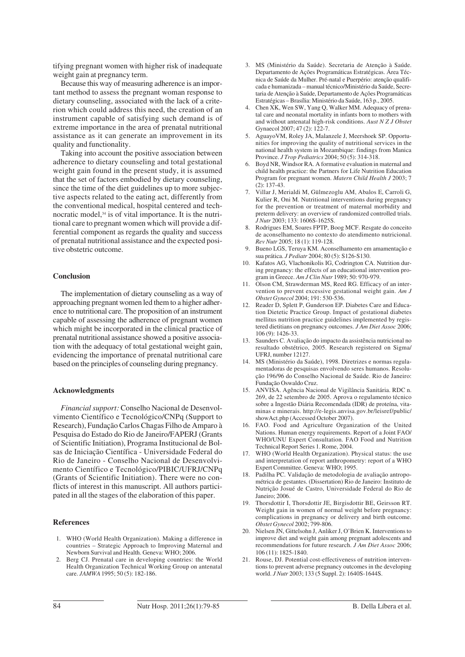tifying pregnant women with higher risk of inadequate weight gain at pregnancy term.

Because this way of measuring adherence is an important method to assess the pregnant woman response to dietary counseling, associated with the lack of a criterion which could address this need, the creation of an instrument capable of satisfying such demand is of extreme importance in the area of prenatal nutritional assistance as it can generate an improvement in its quality and functionality.

Taking into account the positive association between adherence to dietary counseling and total gestational weight gain found in the present study, it is assumed that the set of factors embodied by dietary counseling, since the time of the diet guidelines up to more subjective aspects related to the eating act, differently from the conventional medical, hospital centered and technocratic model,<sup>34</sup> is of vital importance. It is the nutritional care to pregnant women which will provide a differential component as regards the quality and success of prenatal nutritional assistance and the expected positive obstetric outcome.

### **Conclusion**

The implementation of dietary counseling as a way of approaching pregnant women led them to a higher adherence to nutritional care. The proposition of an instrument capable of assessing the adherence of pregnant women which might be incorporated in the clinical practice of prenatal nutritional assistance showed a positive association with the adequacy of total gestational weight gain, evidencing the importance of prenatal nutritional care based on the principles of counseling during pregnancy.

#### **Acknowledgments**

*Financial support:* Conselho Nacional de Desenvolvimento Científico e Tecnológico/CNPq (Support to Research), Fundação Carlos Chagas Filho de Amparo à Pesquisa do Estado do Rio de Janeiro/FAPERJ (Grants of Scientific Initiation), Programa Institucional de Bolsas de Iniciação Científica - Universidade Federal do Rio de Janeiro - Conselho Nacional de Desenvolvimento Científico e Tecnológico/PIBIC/UFRJ/CNPq (Grants of Scientific Initiation). There were no conflicts of interest in this manuscript. All authors participated in all the stages of the elaboration of this paper.

#### **References**

- 1. WHO (World Health Organization). Making a difference in countries – Strategic Approach to Improving Maternal and Newborn Survival and Health. Geneva: WHO; 2006.
- 2. Berg CJ. Prenatal care in developing countries: the World Health Organization Technical Working Group on antenatal care. *JAMWA* 1995; 50 (5): 182-186.
- 3. MS (Ministério da Saúde). Secretaria de Atenção à Saúde. Departamento de Ações Programáticas Estratégicas. Área Técnica de Saúde da Mulher. Pré-natal e Puerpério: atenção qualificada e humanizada – manual técnico/Ministério da Saúde, Secretaria de Atenção à Saúde, Departamento de Ações Programáticas Estratégicas – Brasília: Ministério da Saúde, 163 p., 2005.
- 4. Chen XK, Wen SW, Yang Q, Walker MM. Adequacy of prenatal care and neonatal mortality in infants born to mothers with and without antenatal high-risk conditions. *Aust N Z J Obstet* Gynaecol 2007; 47 (2): 122-7.
- 5. AguayoVM, Roley JA, Malanzele J, Meershoek SP. Opportunities for improving the quality of nutritional services in the national health system in Mozambique: findings from Manica Province. *J Trop Pediatrics* 2004; 50 (5): 314-318.
- 6. Boyd NR, Windsor RA. A formative evaluation in maternal and child health practice: the Partners for Life Nutrition Education Program for pregnant women. *Matern Child Health J* 2003; 7  $(2)$ : 137-43.
- 7. Villar J, Merialdi M, Gülmezoglu AM, Abalos E, Carroli G, Kulier R, Oni M. Nutritional interventions during pregnancy for the prevention or treatment of maternal morbidity and preterm delivery: an overview of randomized controlled trials. *J Nutr* 2003; 133: 1606S-1625S.
- 8. Rodrigues EM, Soares FPTP, Boog MCF. Resgate do conceito de aconselhamento no contexto do atendimento nutricional. *Rev Nutr* 2005; 18 (1): 119-128.
- 9. Bueno LGS, Teruya KM. Aconselhamento em amamentação e sua prática. *J Pediatr* 2004; 80 (5): S126-S130.
- 10. Kafatos AG, Vlachonikolis IG, Codrington CA. Nutrition during pregnancy: the effects of an educational intervention program in Greece. *Am J Clin Nutr* 1989; 50: 970-979.
- 11. Olson CM, Strawderman MS, Reed RG. Efficacy of an intervention to prevent excessive gestational weight gain. *Am J Obstet Gynecol* 2004; 191: 530-536.
- 12. Reader D, Splett P, Gunderson EP. Diabetes Care and Education Dietetic Practice Group. Impact of gestational diabetes mellitus nutrition practice guidelines implemented by registered dietitians on pregnancy outcomes. *J Am Diet Assoc* 2006; 106 (9): 1426-33.
- 13. Saunders C. Avaliação do impacto da assistência nutricional no resultado obstétrico, 2005. Research registered on Sigma/ UFRJ, number 12127.
- 14. MS (Ministério da Saúde), 1998. Diretrizes e normas regulamentadoras de pesquisas envolvendo seres humanos. Resolução 196/96 do Conselho Nacional de Saúde. Rio de Janeiro: Fundação Oswaldo Cruz.
- 15. ANVISA. Agência Nacional de Vigilância Sanitária. RDC n. 269, de 22 setembro de 2005. Aprova o regulamento técnico sobre a Ingestão Diária Recomendada (IDR) de proteína, vitaminas e minerais. http://e-legis.anvisa.gov.br/leisref/public/ showAct.php (Accessed October 2007).
- 16. FAO. Food and Agriculture Organization of the United Nations. Human energy requirements. Report of a Joint FAO/ WHO/UNU Expert Consultation. FAO Food and Nutrition Technical Report Series 1. Rome, 2004.
- 17. WHO (World Health Organization). Physical status: the use and interpretation of report anthropometry: report of a WHO Expert Committee. Geneva: WHO; 1995.
- 18. Padilha PC. Validação de metodologia de avaliação antropométrica de gestantes. (Dissertation) Rio de Janeiro: Instituto de Nutrição Josué de Castro, Universidade Federal do Rio de Janeiro; 2006.
- 19. Thorsdottir I, Thorsdottir JE, Birgisdottir BE, Geirsson RT. Weight gain in women of normal weight before pregnancy: complications in pregnancy or delivery and birth outcome. *Obstet Gynecol* 2002; 799-806.
- 20. Nielsen JN, Gittelsohn J, Anliker J, O'Brien K. Interventions to improve diet and weight gain among pregnant adolescents and recommendations for future research. *J Am Diet Assoc* 2006; 106 (11): 1825-1840.
- 21. Rouse, DJ. Potential cost-effectiveness of nutrition interventions to prevent adverse pregnancy outcomes in the developing world. *J Nutr* 2003; 133 (5 Suppl. 2): 1640S-1644S.